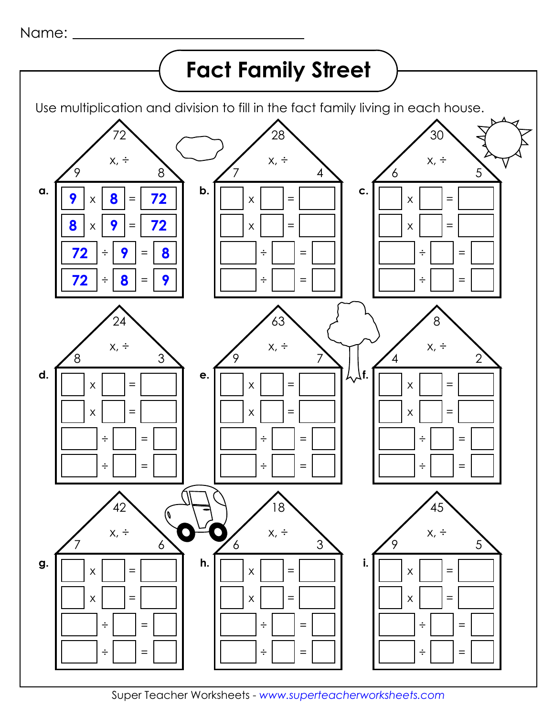Name: